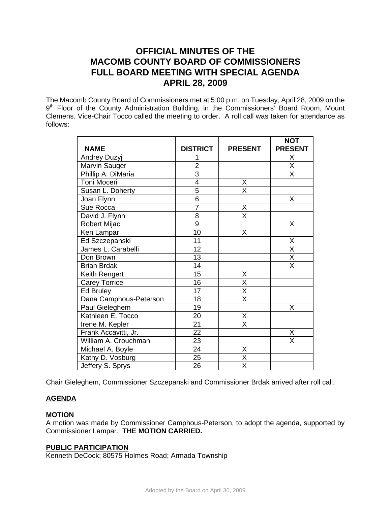# **OFFICIAL MINUTES OF THE MACOMB COUNTY BOARD OF COMMISSIONERS FULL BOARD MEETING WITH SPECIAL AGENDA APRIL 28, 2009**

The Macomb County Board of Commissioners met at 5:00 p.m. on Tuesday, April 28, 2009 on the 9<sup>th</sup> Floor of the County Administration Building, in the Commissioners' Board Room, Mount Clemens. Vice-Chair Tocco called the meeting to order. A roll call was taken for attendance as follows:

|                        |                 |                         | <b>NOT</b>              |
|------------------------|-----------------|-------------------------|-------------------------|
| <b>NAME</b>            | <b>DISTRICT</b> | <b>PRESENT</b>          | <b>PRESENT</b>          |
| Andrey Duzyj           |                 |                         | Χ                       |
| Marvin Sauger          | $\overline{2}$  |                         | $\overline{\mathsf{x}}$ |
| Phillip A. DiMaria     | $\overline{3}$  |                         | $\overline{\mathsf{X}}$ |
| Toni Moceri            | $\overline{4}$  | Χ                       |                         |
| Susan L. Doherty       | 5               | X                       |                         |
| Joan Flynn             | $\overline{6}$  |                         | X                       |
| Sue Rocca              | $\overline{7}$  | X                       |                         |
| David J. Flynn         | $\overline{8}$  | $\overline{\mathsf{x}}$ |                         |
| Robert Mijac           | $\overline{9}$  |                         | Χ                       |
| Ken Lampar             | 10              | X                       |                         |
| Ed Szczepanski         | 11              |                         | Χ                       |
| James L. Carabelli     | 12              |                         | $\overline{X}$          |
| Don Brown              | 13              |                         | $\overline{\mathsf{x}}$ |
| <b>Brian Brdak</b>     | 14              |                         | $\overline{\mathsf{x}}$ |
| Keith Rengert          | 15              | Χ                       |                         |
| <b>Carey Torrice</b>   | 16              | $\overline{\mathsf{x}}$ |                         |
| <b>Ed Bruley</b>       | 17              | $\overline{\mathsf{X}}$ |                         |
| Dana Camphous-Peterson | 18              | $\overline{\mathsf{x}}$ |                         |
| Paul Gieleghem         | 19              |                         | X                       |
| Kathleen E. Tocco      | 20              | Χ                       |                         |
| Irene M. Kepler        | 21              | $\overline{\mathsf{x}}$ |                         |
| Frank Accavitti, Jr.   | $\overline{22}$ |                         | Χ                       |
| William A. Crouchman   | 23              |                         | $\overline{\mathsf{x}}$ |
| Michael A. Boyle       | 24              | Χ                       |                         |
| Kathy D. Vosburg       | $\overline{25}$ | $\overline{\mathsf{x}}$ |                         |
| Jeffery S. Sprys       | 26              | $\overline{\mathsf{x}}$ |                         |

Chair Gieleghem, Commissioner Szczepanski and Commissioner Brdak arrived after roll call.

# **AGENDA**

# **MOTION**

A motion was made by Commissioner Camphous-Peterson, to adopt the agenda, supported by Commissioner Lampar. **THE MOTION CARRIED.** 

### **PUBLIC PARTICIPATION**

Kenneth DeCock; 80575 Holmes Road; Armada Township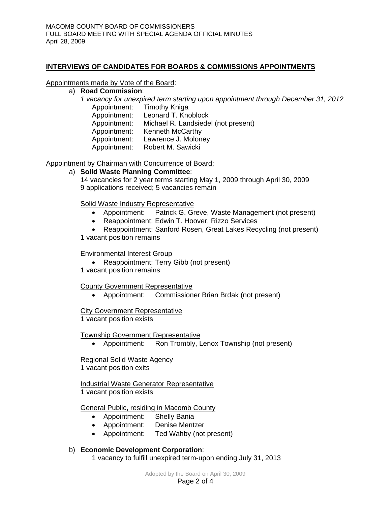# **INTERVIEWS OF CANDIDATES FOR BOARDS & COMMISSIONS APPOINTMENTS**

Appointments made by Vote of the Board:

a) **Road Commission**: *1 vacancy for unexpired term starting upon appointment through December 31, 2012*  Appointment: Timothy Kniga Appointment: Leonard T. Knoblock Appointment: Michael R. Landsiedel (not present) Appointment: Kenneth McCarthy Appointment: Lawrence J. Moloney Appointment: Robert M. Sawicki

# Appointment by Chairman with Concurrence of Board:

### a) **Solid Waste Planning Committee**:

14 vacancies for 2 year terms starting May 1, 2009 through April 30, 2009 9 applications received; 5 vacancies remain

Solid Waste Industry Representative

- Appointment: Patrick G. Greve, Waste Management (not present)
- Reappointment: Edwin T. Hoover, Rizzo Services
- Reappointment: Sanford Rosen, Great Lakes Recycling (not present) 1 vacant position remains

### Environmental Interest Group

- Reappointment: Terry Gibb (not present)
- 1 vacant position remains

# County Government Representative

• Appointment: Commissioner Brian Brdak (not present)

### City Government Representative

1 vacant position exists

### Township Government Representative

• Appointment: Ron Trombly, Lenox Township (not present)

# Regional Solid Waste Agency

1 vacant position exits

**Industrial Waste Generator Representative** 1 vacant position exists

# General Public, residing in Macomb County

- Appointment: Shelly Bania
- Appointment: Denise Mentzer
- Appointment: Ted Wahby (not present)

# b) **Economic Development Corporation**:

1 vacancy to fulfill unexpired term-upon ending July 31, 2013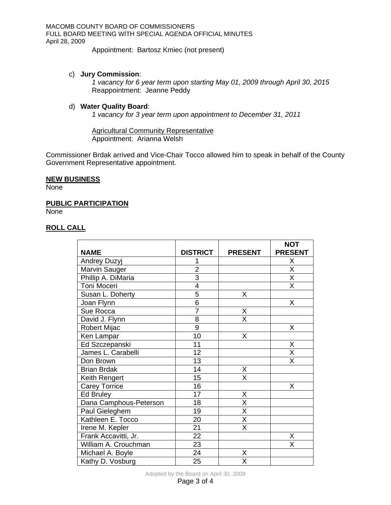MACOMB COUNTY BOARD OF COMMISSIONERS FULL BOARD MEETING WITH SPECIAL AGENDA OFFICIAL MINUTES April 28, 2009

Appointment: Bartosz Kmiec (not present)

### c) **Jury Commission**:

*1 vacancy for 6 year term upon starting May 01, 2009 through April 30, 2015*  Reappointment: Jeanne Peddy

### d) **Water Quality Board**:

*1 vacancy for 3 year term upon appointment to December 31, 2011* 

Agricultural Community Representative Appointment: Arianna Welsh

Commissioner Brdak arrived and Vice-Chair Tocco allowed him to speak in behalf of the County Government Representative appointment.

### **NEW BUSINESS**

None

### **PUBLIC PARTICIPATION**

**None** 

### **ROLL CALL**

|                        |                 |                         | <b>NOT</b>              |
|------------------------|-----------------|-------------------------|-------------------------|
| <b>NAME</b>            | <b>DISTRICT</b> | <b>PRESENT</b>          | <b>PRESENT</b>          |
| Andrey Duzyj           |                 |                         | Χ                       |
| Marvin Sauger          | $\overline{2}$  |                         | $\overline{\mathsf{x}}$ |
| Phillip A. DiMaria     | $\overline{3}$  |                         | $\overline{\mathsf{x}}$ |
| <b>Toni Moceri</b>     | $\overline{4}$  |                         | $\overline{\mathsf{x}}$ |
| Susan L. Doherty       | 5               | Χ                       |                         |
| Joan Flynn             | $\overline{6}$  |                         | X                       |
| Sue Rocca              | $\overline{7}$  | X                       |                         |
| David J. Flynn         | 8               | $\overline{\mathsf{x}}$ |                         |
| Robert Mijac           | 9               |                         | X                       |
| Ken Lampar             | 10              | X                       |                         |
| Ed Szczepanski         | 11              |                         | Χ                       |
| James L. Carabelli     | 12              |                         | $\overline{\mathsf{x}}$ |
| Don Brown              | 13              |                         | X                       |
| <b>Brian Brdak</b>     | 14              | Χ                       |                         |
| Keith Rengert          | 15              | X                       |                         |
| <b>Carey Torrice</b>   | 16              |                         | Χ                       |
| <b>Ed Bruley</b>       | 17              | X                       |                         |
| Dana Camphous-Peterson | 18              | X                       |                         |
| Paul Gieleghem         | 19              | X                       |                         |
| Kathleen E. Tocco      | 20              | $\overline{\mathsf{x}}$ |                         |
| Irene M. Kepler        | 21              | X                       |                         |
| Frank Accavitti, Jr.   | $\overline{22}$ |                         | Χ                       |
| William A. Crouchman   | 23              |                         | X                       |
| Michael A. Boyle       | 24              | Χ                       |                         |
| Kathy D. Vosburg       | 25              | X                       |                         |

Adopted by the Board on April 30, 2009